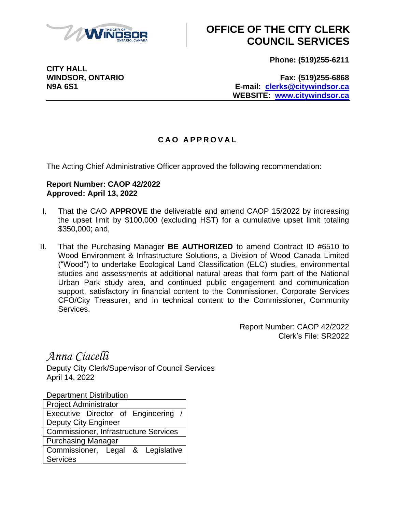

## **OFFICE OF THE CITY CLERK COUNCIL SERVICES**

**Phone: (519)255-6211**

**CITY HALL**

**WINDSOR, ONTARIO Fax: (519)255-6868 N9A 6S1 E-mail: [clerks@citywindsor.ca](mailto:clerks@citywindsor.ca) WEBSITE: [www.citywindsor.ca](http://www.citywindsor.ca/)**

## **C A O A P P R O V A L**

The Acting Chief Administrative Officer approved the following recommendation:

## **Report Number: CAOP 42/2022 Approved: April 13, 2022**

- I. That the CAO **APPROVE** the deliverable and amend CAOP 15/2022 by increasing the upset limit by \$100,000 (excluding HST) for a cumulative upset limit totaling \$350,000; and,
- II. That the Purchasing Manager **BE AUTHORIZED** to amend Contract ID #6510 to Wood Environment & Infrastructure Solutions, a Division of Wood Canada Limited ("Wood") to undertake Ecological Land Classification (ELC) studies, environmental studies and assessments at additional natural areas that form part of the National Urban Park study area, and continued public engagement and communication support, satisfactory in financial content to the Commissioner, Corporate Services CFO/City Treasurer, and in technical content to the Commissioner, Community Services.

Report Number: CAOP 42/2022 Clerk's File: SR2022

*Anna Ciacelli*

Deputy City Clerk/Supervisor of Council Services April 14, 2022

Department Distribution

| <b>Project Administrator</b>                 |  |  |  |
|----------------------------------------------|--|--|--|
| Executive Director of Engineering /          |  |  |  |
| <b>Deputy City Engineer</b>                  |  |  |  |
| <b>Commissioner, Infrastructure Services</b> |  |  |  |
| <b>Purchasing Manager</b>                    |  |  |  |
| Commissioner, Legal & Legislative            |  |  |  |
| Services                                     |  |  |  |